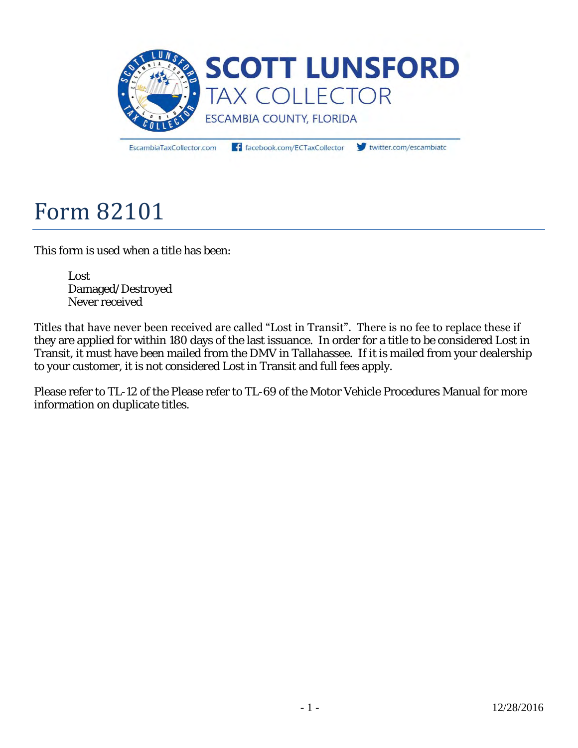

EscambiaTaxCollector.com

facebook.com/ECTaxCollector

twitter.com/escambiate

# Form 82101

This form is used when a title has been:

 Lost Damaged/Destroyed Never received

Titles that have never been received are called "Lost in Transit". There is no fee to replace these if they are applied for within 180 days of the last issuance. In order for a title to be considered Lost in Transit, it must have been mailed from the DMV in Tallahassee. If it is mailed from your dealership to your customer, it is not considered Lost in Transit and full fees apply.

Please refer to TL-12 of the Please refer to TL-69 of the Motor Vehicle Procedures Manual for more information on duplicate titles.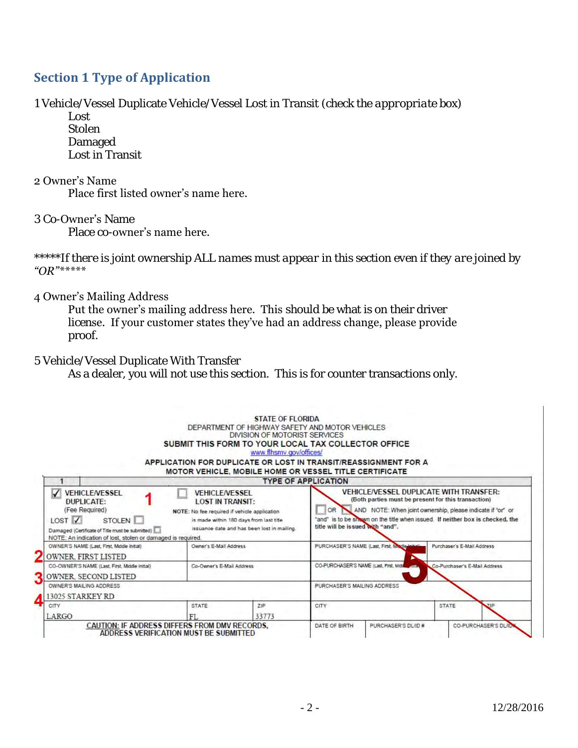# **Section 1 Type of Application**

1 Vehicle/Vessel Duplicate Vehicle/Vessel Lost in Transit *(check the appropriate box)* 

 Lost Stolen Damaged Lost in Transit

#### 2 Owner's Name Place first listed owner's name here.

#### 3 Co-Owner's Name

Place co-owner's name here.

*\*\*\*\*\*If there is joint ownership ALL names must appear in this section even if they are joined by "OR"\*\*\*\*\**

#### 4 Owner's Mailing Address

Put the owner's mailing address here. This *should be* what is on their driver license. If your customer states they've had an address change, please provide proof.

## 5 Vehicle/Vessel Duplicate With Transfer

As a dealer, you will not use this section. This is for counter transactions only.

|                                                                                                                                                                                                                       |                                                                                                                                                                                            | DEPARTMENT OF HIGHWAY SAFETY AND MOTOR VEHICLES<br>DIVISION OF MOTORIST SERVICES<br>SUBMIT THIS FORM TO YOUR LOCAL TAX COLLECTOR OFFICE<br>www.flhsmy.gov/offices/<br>APPLICATION FOR DUPLICATE OR LOST IN TRANSIT/REASSIGNMENT FOR A                                                           |                             |                                             |                            |  |
|-----------------------------------------------------------------------------------------------------------------------------------------------------------------------------------------------------------------------|--------------------------------------------------------------------------------------------------------------------------------------------------------------------------------------------|-------------------------------------------------------------------------------------------------------------------------------------------------------------------------------------------------------------------------------------------------------------------------------------------------|-----------------------------|---------------------------------------------|----------------------------|--|
|                                                                                                                                                                                                                       |                                                                                                                                                                                            | <b>MOTOR VEHICLE, MOBILE HOME OR VESSEL TITLE CERTIFICATE</b>                                                                                                                                                                                                                                   | <b>TYPE OF APPLICATION</b>  |                                             |                            |  |
| ✓<br><b>VEHICLE/VESSEL</b><br><b>DUPLICATE:</b><br>(Fee Reguired)<br>LOST <sub>V</sub><br>STOLEN I<br>Damaged (Certificate of Title must be submitted)<br>NOTE: An indication of lost, stolen or damaged is required. | <b>VEHICLE/VESSEL</b><br><b>LOST IN TRANSIT:</b><br>NOTE: No fee required if vehicle application<br>is made within 180 days from last title<br>issuance date and has been lost in mailing. | <b>VEHICLE/VESSEL DUPLICATE WITH TRANSFER:</b><br>(Both parties must be present for this transaction)<br>OR<br>AND NOTE: When joint ownership, please indicate if 'or' or<br>"and" is to be sinwyn on the title when issued. If neither box is checked, the<br>title will be issued with "and". |                             |                                             |                            |  |
| OWNER'S NAME (Last, First, Modie Initial)<br><b>OWNER FIRST LISTED</b>                                                                                                                                                | Owner's E-Mail Address                                                                                                                                                                     |                                                                                                                                                                                                                                                                                                 |                             | PURCHASER'S NAME (Last, First, Madle Innal) | Purchaser's E-Mail Address |  |
| CO-OWNER'S NAME (Last, First, Middle Initial)<br><b>OWNER SECOND LISTED</b>                                                                                                                                           | Co-Owner's E-Mail Address.                                                                                                                                                                 | CO-PURCHASER'S NAME (Last, First, Midd<br>Co-Purchaser's E-Mail Address<br>425.                                                                                                                                                                                                                 |                             |                                             |                            |  |
| OWNER'S MAILING ADDRESS<br>13025 STARKEY RD                                                                                                                                                                           |                                                                                                                                                                                            |                                                                                                                                                                                                                                                                                                 | PURCHASER'S MAILING ADDRESS |                                             |                            |  |
| CITY<br>LARGO                                                                                                                                                                                                         | <b>STATE</b><br>F1                                                                                                                                                                         | ZIP<br>33773                                                                                                                                                                                                                                                                                    | CITY                        |                                             | <b>STATE</b>               |  |
| CAUTION: IF ADDRESS DIFFERS FROM DMV RECORDS.<br>ADDRESS VERIFICATION MUST BE SUBMITTED                                                                                                                               |                                                                                                                                                                                            |                                                                                                                                                                                                                                                                                                 | DATE OF BIRTH.              | PURCHASER'S DL/ID #                         | CO-PURCHASER'S DL/IL       |  |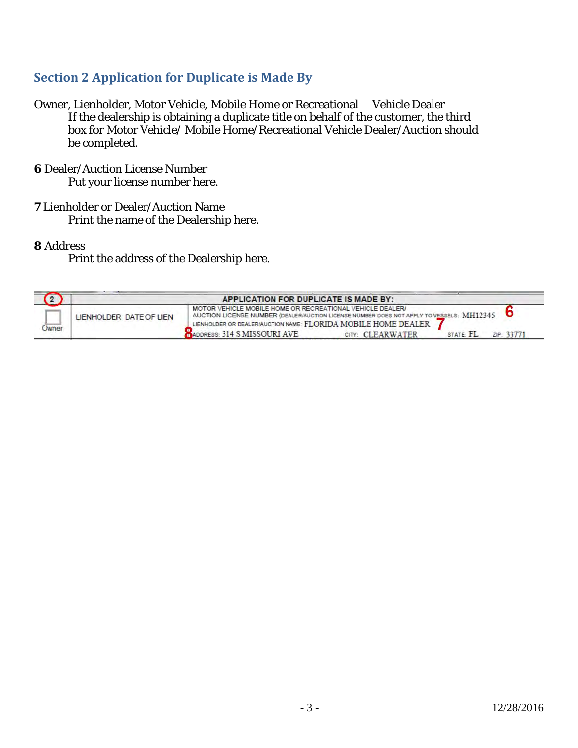## **Section 2 Application for Duplicate is Made By**

Owner, Lienholder, Motor Vehicle, Mobile Home or Recreational Vehicle Dealer If the dealership is obtaining a duplicate title on behalf of the customer, the third box for Motor Vehicle/ Mobile Home/Recreational Vehicle Dealer/Auction should be completed.

- **6** Dealer/Auction License Number Put your license number here.
- **7** Lienholder or Dealer/Auction Name Print the name of the Dealership here.

**8** Address

Print the address of the Dealership here.

|              |                         | APPLICATION FOR DUPLICATE IS MADE BY:                                                                                                                                                                                  |                  |          |            |
|--------------|-------------------------|------------------------------------------------------------------------------------------------------------------------------------------------------------------------------------------------------------------------|------------------|----------|------------|
| <b>Jwner</b> | LIENHOLDER DATE OF LIEN | MOTOR VEHICLE MOBILE HOME OR RECREATIONAL VEHICLE DEALER/<br>AUCTION LICENSE NUMBER (DEALER/AUCTION LICENSE NUMBER DOES NOT APPLY TO VESSELS: MH12345<br>LIENHOLDER OR DEALER/AUCTION NAME: FLORIDA MOBILE HOME DEALER |                  |          |            |
|              |                         | ADDRESS: 314 S MISSOURI AVE                                                                                                                                                                                            | CITY: CLEARWATER | STATE FL | ZIP: 33771 |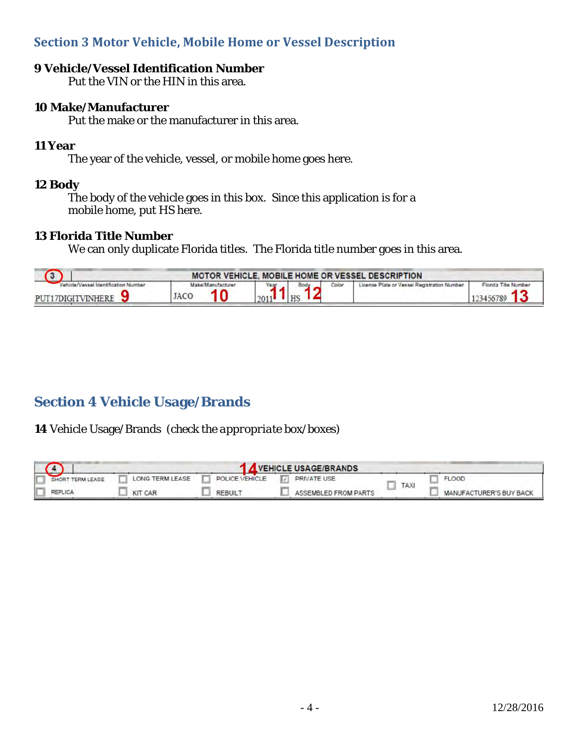## **Section 3 Motor Vehicle, Mobile Home or Vessel Description**

## **9 Vehicle/Vessel Identification Number**

Put the VIN or the HIN in this area.

## **10 Make/Manufacturer**

Put the make or the manufacturer in this area.

#### **11 Year**

The year of the vehicle, vessel, or mobile home goes here.

## **12 Body**

 The body of the vehicle goes in this box. Since this application is for a mobile home, put HS here.

## **13 Florida Title Number**

We can only duplicate Florida titles. The Florida title number goes in this area.

|                                                         | MOTOR VEHICLE, MOBILE HOME OR VESSEL DESCRIPTION |  |      |       |                                             |                                   |  |  |
|---------------------------------------------------------|--------------------------------------------------|--|------|-------|---------------------------------------------|-----------------------------------|--|--|
| __<br>Vessel Identification Number<br>PUT17DIGITVINHERE | Make/Manufacturer<br>JACC                        |  | Body | Color | License Plate or Vessel Registration Number | Florida Title Number<br>123456789 |  |  |

# **Section 4 Vehicle Usage/Brands**

**14** Vehicle Usage/Brands *(check the appropriate box/boxes)*

|                  |                 |                | VEHICLE USAGE/BRANDS    |      |                         |
|------------------|-----------------|----------------|-------------------------|------|-------------------------|
| SHORT TERM LEASE | LONG TERM LEASE | POLICE VEHICLE | <b>D</b><br>PRIVATE USE |      | <b>FLOOD</b>            |
|                  | <b>KIT CAR</b>  | <b>REBUIL</b>  | ASSEMBLED FROM PARTS    | TAX. | MANUFACTURER'S BUY BACK |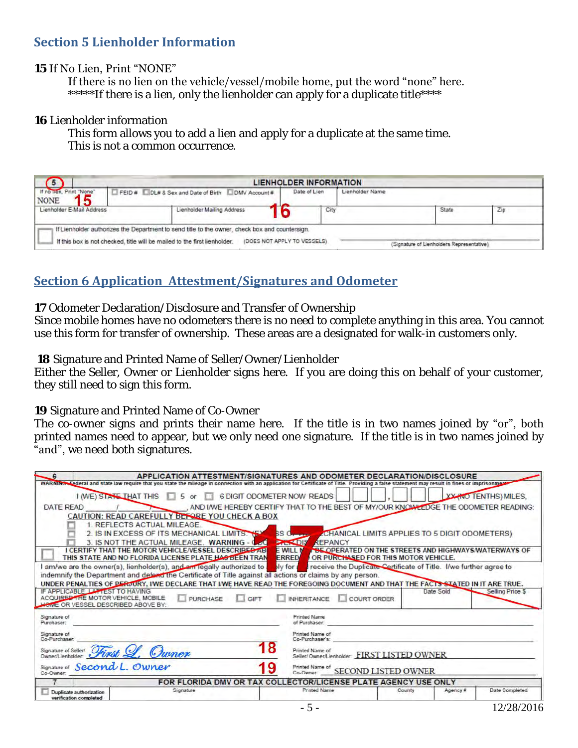## **Section 5 Lienholder Information**

## **15** If No Lien, Print "NONE"

#### If there is no lien on the vehicle/vessel/mobile home, put the word "none" here.

\*\*\*\*\*If there is a lien, only the lienholder can apply for a duplicate title\*\*\*\*

#### **16** Lienholder information

 This form allows you to add a lien and apply for a duplicate at the same time. This is not a common occurrence.

|                                         |       |                                                                                                                                                                             | <b>LIENHOLDER INFORMATION</b> |                 |                                           |     |
|-----------------------------------------|-------|-----------------------------------------------------------------------------------------------------------------------------------------------------------------------------|-------------------------------|-----------------|-------------------------------------------|-----|
| If no lien, Print "None"<br><b>NONE</b> | FEID# | DL# & Sex and Date of Birth DMV Account #                                                                                                                                   | Date of Lien                  | Lienholder Name |                                           |     |
| Lienholder E-Mail Address               |       | Lienholder Mailing Address                                                                                                                                                  | City                          |                 | State                                     | Zip |
|                                         |       | If Lienholder authorizes the Department to send title to the owner, check box and countersign.<br>If this box is not checked, title will be mailed to the first lienholder. | (DOES NOT APPLY TO VESSELS)   |                 | (Signature of Lienholders Representative) |     |

# **Section 6 Application Attestment/Signatures and Odometer**

**17** Odometer Declaration/Disclosure and Transfer of Ownership

Since mobile homes have no odometers there is no need to complete anything in this area. You cannot use this form for transfer of ownership. These areas are a designated for walk-in customers only.

**18** Signature and Printed Name of Seller/Owner/Lienholder

Either the Seller, Owner or Lienholder signs here. If you are doing this on behalf of your customer, they still need to sign this form.

**19** Signature and Printed Name of Co-Owner

The co-owner signs and prints their name here. If the title is in two names joined by "or", both printed names need to appear, but we only need one signature. If the title is in two names joined by "and", we need both signatures.

| $-6$                                                                                                                                                                                         |                                                                                                               |                 |                                   |                                      | APPLICATION ATTESTMENT/SIGNATURES AND ODOMETER DECLARATION/DISCLOSURE                               |        |           |                                                                                      |
|----------------------------------------------------------------------------------------------------------------------------------------------------------------------------------------------|---------------------------------------------------------------------------------------------------------------|-----------------|-----------------------------------|--------------------------------------|-----------------------------------------------------------------------------------------------------|--------|-----------|--------------------------------------------------------------------------------------|
| WARNING Enderal and state law require that you state the mileage in connection with an application for Certificate of Title. Providing a false statement may result in fines or imprisonment |                                                                                                               |                 |                                   |                                      |                                                                                                     |        |           |                                                                                      |
|                                                                                                                                                                                              | I (WE) STATE THAT THIS                                                                                        | $5$ or $\Box$   | <b>6 DIGIT ODOMETER NOW READS</b> |                                      |                                                                                                     |        |           | <b>XX (NO TENTHS) MILES.</b>                                                         |
| DATE READ                                                                                                                                                                                    |                                                                                                               |                 |                                   |                                      |                                                                                                     |        |           | , AND I/WE HEREBY CERTIFY THAT TO THE BEST OF MY/OUR KNOWLEDGE THE ODOMETER READING: |
|                                                                                                                                                                                              | CAUTION: READ CAREFULLY BEFORE YOU CHECK A BOX                                                                |                 |                                   |                                      |                                                                                                     |        |           |                                                                                      |
|                                                                                                                                                                                              | 1. REFLECTS ACTUAL MILEAGE.                                                                                   |                 |                                   |                                      |                                                                                                     |        |           |                                                                                      |
|                                                                                                                                                                                              | 2. IS IN EXCESS OF ITS MECHANICAL LIMITS.                                                                     |                 |                                   | $SSO_{r}$                            | <b>ZCHANICAL LIMITS APPLIES TO 5 DIGIT ODOMETERS)</b>                                               |        |           |                                                                                      |
|                                                                                                                                                                                              | 3. IS NOT THE ACTUAL MILEAGE. WARNING - 0-20                                                                  |                 |                                   | <b>PACK DIS</b><br>REPANCY           |                                                                                                     |        |           |                                                                                      |
|                                                                                                                                                                                              | I CERTIFY THAT THE MOTOR VEHICLE/VESSEL DESCRIBED AB<br>THIS STATE AND NO FLORIDA LICENSE PLATE HAS BEEN TRAN |                 |                                   | <b>EWILL M</b><br><b>ERRED</b>       | <b>BE OPERATED ON THE STREETS AND HIGHWAYS WATERWAYS OF</b><br>OR PURCHASED FOR THIS MOTOR VEHICLE. |        |           |                                                                                      |
| am/we are the owner(s), lienholder(s), and an legally authorized to                                                                                                                          |                                                                                                               |                 |                                   | bly for:                             | receive the Duplicate Certificate of Title. I/we further agree to                                   |        |           |                                                                                      |
| indemnify the Department and defend the Certificate of Title against all actions or claims by any person.                                                                                    |                                                                                                               |                 |                                   |                                      |                                                                                                     |        |           |                                                                                      |
| UNDER PENALTIES OF PERJURY, IWE DECLARE THAT IWE HAVE READ THE FOREGOING DOCUMENT AND THAT THE FACTS STATED IN IT ARE TRUE.                                                                  |                                                                                                               |                 |                                   |                                      |                                                                                                     |        |           |                                                                                      |
| IF APPLICABLE. LATTEST TO HAVING<br>ACQUIRED THE MOTOR VEHICLE, MOBILE<br><b>LOWE OR VESSEL DESCRIBED ABOVE BY:</b>                                                                          |                                                                                                               | <b>PURCHASE</b> | GIFT                              | <b>INHERITANCE</b>                   | COURT ORDER                                                                                         |        | Date Sold | Selling Price \$                                                                     |
| Signature of<br>Purchaser:                                                                                                                                                                   |                                                                                                               |                 |                                   | <b>Printed Name</b><br>of Purchaser. |                                                                                                     |        |           |                                                                                      |
|                                                                                                                                                                                              |                                                                                                               |                 |                                   |                                      |                                                                                                     |        |           |                                                                                      |
| Signature of<br>Co-Purchaser:                                                                                                                                                                |                                                                                                               |                 |                                   | Printed Name of<br>Co-Purchaser's:   |                                                                                                     |        |           |                                                                                      |
| Signature of Seller First                                                                                                                                                                    | Owner                                                                                                         |                 |                                   | Printed Name of                      | Seller/ Owner/Lienholder: FIRST LISTED OWNER                                                        |        |           |                                                                                      |
| Signature of Second L. Owner<br>Co-Owner:                                                                                                                                                    |                                                                                                               |                 | 19                                | Printed Name of<br>Co-Owner.         | <b>SECOND LISTED OWNER</b>                                                                          |        |           |                                                                                      |
|                                                                                                                                                                                              |                                                                                                               |                 |                                   |                                      | FOR FLORIDA DMV OR TAX COLLECTOR/LICENSE PLATE AGENCY USE ONLY                                      |        |           |                                                                                      |
| Duplicate authorization<br>verification completed                                                                                                                                            |                                                                                                               | Signature       |                                   | Printed Name                         |                                                                                                     | County | Agency #  | Date Completed                                                                       |
|                                                                                                                                                                                              |                                                                                                               |                 |                                   | $-5-$                                |                                                                                                     |        |           | 12/28/2016                                                                           |